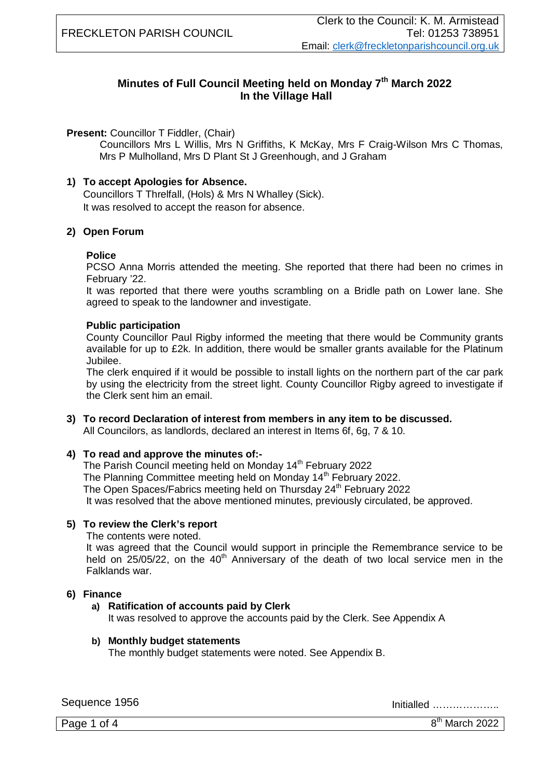## **Minutes of Full Council Meeting held on Monday 7 th March 2022 In the Village Hall**

### **Present: Councillor T Fiddler, (Chair)**

Councillors Mrs L Willis, Mrs N Griffiths, K McKay, Mrs F Craig-Wilson Mrs C Thomas, Mrs P Mulholland, Mrs D Plant St J Greenhough, and J Graham

## **1) To accept Apologies for Absence.**

Councillors T Threlfall, (Hols) & Mrs N Whalley (Sick). It was resolved to accept the reason for absence.

## **2) Open Forum**

## **Police**

PCSO Anna Morris attended the meeting. She reported that there had been no crimes in February '22.

It was reported that there were youths scrambling on a Bridle path on Lower lane. She agreed to speak to the landowner and investigate.

### **Public participation**

County Councillor Paul Rigby informed the meeting that there would be Community grants available for up to £2k. In addition, there would be smaller grants available for the Platinum Jubilee.

The clerk enquired if it would be possible to install lights on the northern part of the car park by using the electricity from the street light. County Councillor Rigby agreed to investigate if the Clerk sent him an email.

**3) To record Declaration of interest from members in any item to be discussed.** All Councilors, as landlords, declared an interest in Items 6f, 6g, 7 & 10.

### **4) To read and approve the minutes of:-**

The Parish Council meeting held on Monday 14<sup>th</sup> February 2022 The Planning Committee meeting held on Monday 14<sup>th</sup> February 2022. The Open Spaces/Fabrics meeting held on Thursday 24<sup>th</sup> February 2022 It was resolved that the above mentioned minutes, previously circulated, be approved.

## **5) To review the Clerk's report**

The contents were noted.

It was agreed that the Council would support in principle the Remembrance service to be held on  $25/05/22$ , on the  $40<sup>th</sup>$  Anniversary of the death of two local service men in the Falklands war.

### **6) Finance**

### **a) Ratification of accounts paid by Clerk**

It was resolved to approve the accounts paid by the Clerk. See Appendix A

### **b) Monthly budget statements**

The monthly budget statements were noted. See Appendix B.

Sequence 1956 Initialled ………………..

Page 1 of 4

 $8<sup>th</sup>$  March 2022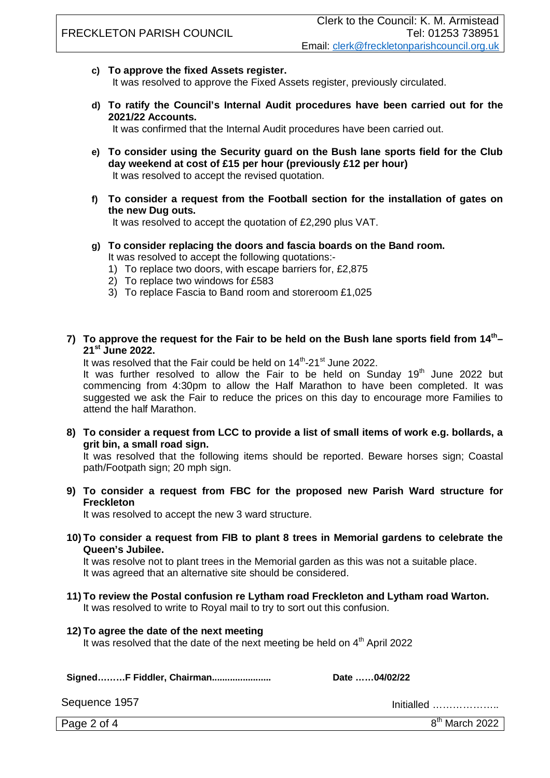**c) To approve the fixed Assets register.**

It was resolved to approve the Fixed Assets register, previously circulated.

**d) To ratify the Council's Internal Audit procedures have been carried out for the 2021/22 Accounts.**

It was confirmed that the Internal Audit procedures have been carried out.

- **e) To consider using the Security guard on the Bush lane sports field for the Club day weekend at cost of £15 per hour (previously £12 per hour)** It was resolved to accept the revised quotation.
- **f) To consider a request from the Football section for the installation of gates on the new Dug outs.**

It was resolved to accept the quotation of £2,290 plus VAT.

- **g) To consider replacing the doors and fascia boards on the Band room.** It was resolved to accept the following quotations:-
	- 1) To replace two doors, with escape barriers for, £2,875
	- 2) To replace two windows for £583
	- 3) To replace Fascia to Band room and storeroom £1,025

### **7) To approve the request for the Fair to be held on the Bush lane sports field from 14th – 21st June 2022.**

It was resolved that the Fair could be held on 14<sup>th</sup>-21<sup>st</sup> June 2022.

It was further resolved to allow the Fair to be held on Sunday  $19<sup>th</sup>$  June 2022 but commencing from 4:30pm to allow the Half Marathon to have been completed. It was suggested we ask the Fair to reduce the prices on this day to encourage more Families to attend the half Marathon.

**8) To consider a request from LCC to provide a list of small items of work e.g. bollards, a grit bin, a small road sign.**

It was resolved that the following items should be reported. Beware horses sign; Coastal path/Footpath sign; 20 mph sign.

**9) To consider a request from FBC for the proposed new Parish Ward structure for Freckleton**

It was resolved to accept the new 3 ward structure.

**10) To consider a request from FIB to plant 8 trees in Memorial gardens to celebrate the Queen's Jubilee.**

It was resolve not to plant trees in the Memorial garden as this was not a suitable place. It was agreed that an alternative site should be considered.

**11) To review the Postal confusion re Lytham road Freckleton and Lytham road Warton.** It was resolved to write to Royal mail to try to sort out this confusion.

#### **12) To agree the date of the next meeting**

It was resolved that the date of the next meeting be held on 4<sup>th</sup> April 2022

Date ……04/02/22

Sequence 1957 Initialled ………………..

Page 2 of 4

 $8<sup>th</sup>$  March 2022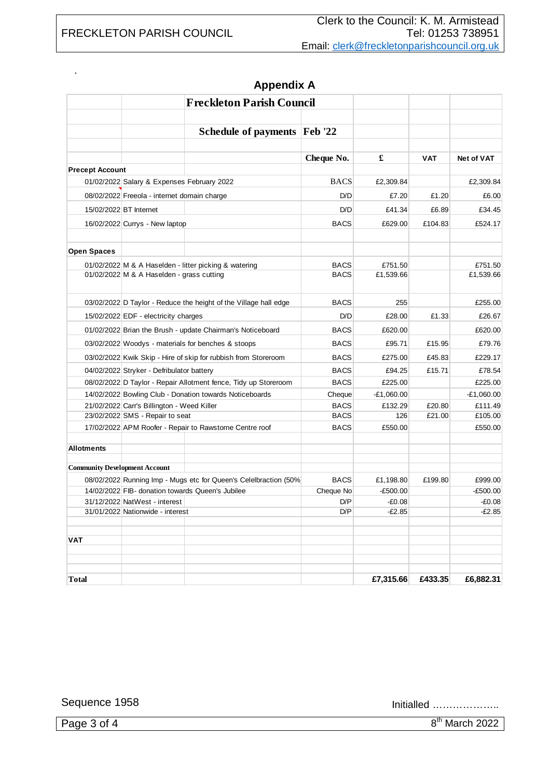.

|                                      | <b>Freckleton Parish Council</b>                                 |                                                                   |             |              |            |                   |
|--------------------------------------|------------------------------------------------------------------|-------------------------------------------------------------------|-------------|--------------|------------|-------------------|
|                                      |                                                                  |                                                                   |             |              |            |                   |
|                                      |                                                                  | Schedule of payments   Feb '22                                    |             |              |            |                   |
|                                      |                                                                  |                                                                   | Cheque No.  | £            | <b>VAT</b> | <b>Net of VAT</b> |
| <b>Precept Account</b>               |                                                                  |                                                                   |             |              |            |                   |
|                                      | 01/02/2022 Salary & Expenses February 2022                       |                                                                   | <b>BACS</b> | £2,309.84    |            | £2,309.84         |
|                                      | 08/02/2022 Freeola - internet domain charge                      |                                                                   | D/D         | £7.20        | £1.20      | £6.00             |
|                                      | 15/02/2022 BT Internet                                           |                                                                   | D/D         | £41.34       | £6.89      | £34.45            |
|                                      | 16/02/2022 Currys - New laptop                                   |                                                                   | <b>BACS</b> | £629.00      | £104.83    | £524.17           |
| <b>Open Spaces</b>                   |                                                                  |                                                                   |             |              |            |                   |
|                                      | 01/02/2022 M & A Haselden - litter picking & watering            |                                                                   | <b>BACS</b> | £751.50      |            | £751.50           |
|                                      | 01/02/2022 M & A Haselden - grass cutting                        |                                                                   | <b>BACS</b> | £1,539.66    |            | £1,539.66         |
|                                      | 03/02/2022 D Taylor - Reduce the height of the Village hall edge |                                                                   | <b>BACS</b> | 255          |            | £255.00           |
|                                      | 15/02/2022 EDF - electricity charges                             |                                                                   | D/D         | £28.00       | £1.33      | £26.67            |
|                                      |                                                                  | 01/02/2022 Brian the Brush - update Chairman's Noticeboard        | <b>BACS</b> | £620.00      |            | £620.00           |
|                                      |                                                                  | 03/02/2022 Woodys - materials for benches & stoops                | <b>BACS</b> | £95.71       | £15.95     | £79.76            |
|                                      |                                                                  | 03/02/2022 Kwik Skip - Hire of skip for rubbish from Storeroom    | <b>BACS</b> | £275.00      | £45.83     | £229.17           |
|                                      | 04/02/2022 Stryker - Defribulator battery                        |                                                                   | <b>BACS</b> | £94.25       | £15.71     | £78.54            |
|                                      | 08/02/2022 D Taylor - Repair Allotment fence, Tidy up Storeroom  |                                                                   | <b>BACS</b> | £225.00      |            | £225.00           |
|                                      | 14/02/2022 Bowling Club - Donation towards Noticeboards          |                                                                   | Cheque      | $-E1,060.00$ |            | $-E1,060.00$      |
|                                      | 21/02/2022 Carr's Billington - Weed Killer                       |                                                                   | <b>BACS</b> | £132.29      | £20.80     | £111.49           |
|                                      | 23/02/2022 SMS - Repair to seat                                  |                                                                   | <b>BACS</b> | 126          | £21.00     | £105.00           |
|                                      | 17/02/2022 APM Roofer - Repair to Rawstorne Centre roof          |                                                                   | <b>BACS</b> | £550.00      |            | £550.00           |
| <b>Allotments</b>                    |                                                                  |                                                                   |             |              |            |                   |
| <b>Community Development Account</b> |                                                                  |                                                                   |             |              |            |                   |
|                                      |                                                                  | 08/02/2022 Running Imp - Mugs etc for Queen's Celelbraction (50%) | <b>BACS</b> | £1,198.80    | £199.80    | £999.00           |
|                                      | 14/02/2022 FIB- donation towards Queen's Jubilee                 |                                                                   | Cheque No   | $-E500.00$   |            | $-E500.00$        |
|                                      | 31/12/2022 NatWest - interest                                    |                                                                   | D/P         | $-£0.08$     |            | $-£0.08$          |
|                                      | 31/01/2022 Nationwide - interest                                 |                                                                   | D/P         | $-E2.85$     |            | $-E2.85$          |
| <b>VAT</b>                           |                                                                  |                                                                   |             |              |            |                   |
|                                      |                                                                  |                                                                   |             |              |            |                   |
| <b>Total</b>                         |                                                                  |                                                                   |             | £7,315.66    | £433.35    | £6,882.31         |

## **Appendix A**